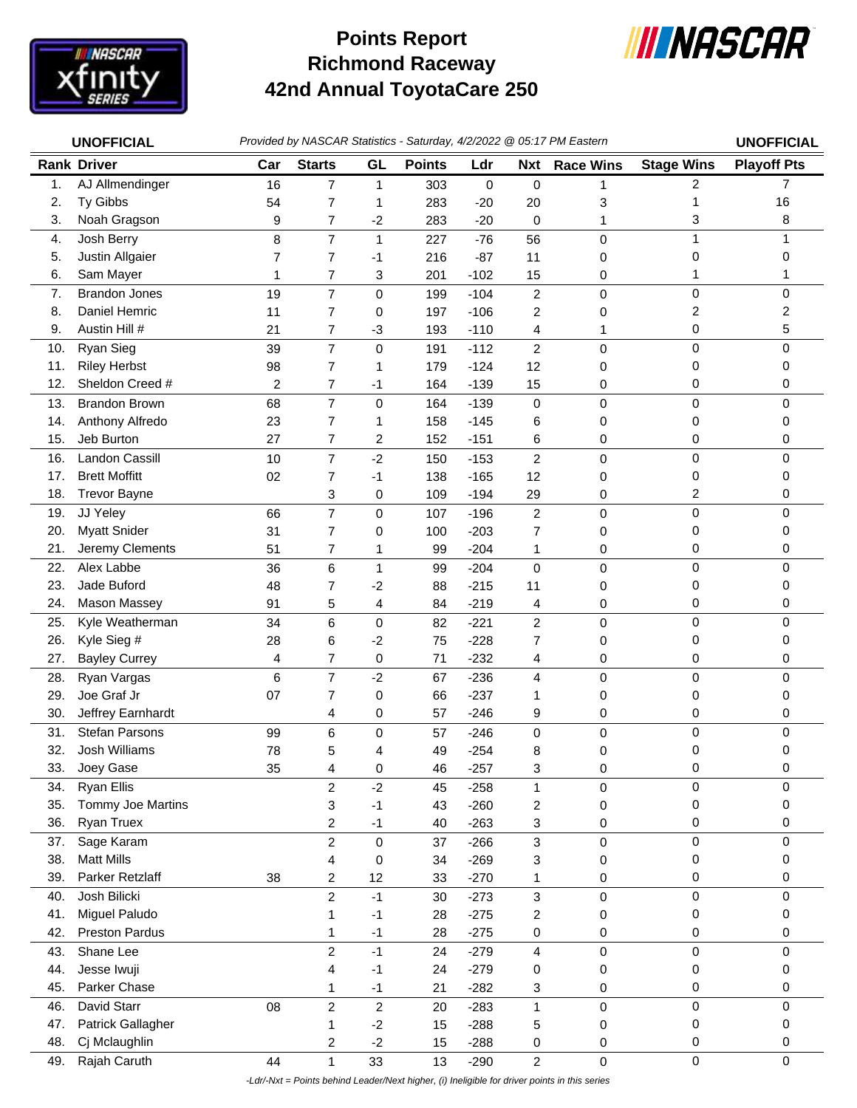

## **Richmond Raceway 42nd Annual ToyotaCare 250 Points Report**



|            | <b>UNOFFICIAL</b>                | Provided by NASCAR Statistics - Saturday, 4/2/2022 @ 05:17 PM Eastern |                         |                |               |                  |                         |                  |                   | <b>UNOFFICIAL</b>  |
|------------|----------------------------------|-----------------------------------------------------------------------|-------------------------|----------------|---------------|------------------|-------------------------|------------------|-------------------|--------------------|
|            | <b>Rank Driver</b>               | Car                                                                   | <b>Starts</b>           | GL             | <b>Points</b> | Ldr              | <b>Nxt</b>              | <b>Race Wins</b> | <b>Stage Wins</b> | <b>Playoff Pts</b> |
| 1.         | AJ Allmendinger                  | 16                                                                    | $\overline{7}$          | $\mathbf 1$    | 303           | 0                | $\pmb{0}$               | 1                | 2                 | 7                  |
| 2.         | Ty Gibbs                         | 54                                                                    | 7                       | 1              | 283           | $-20$            | 20                      | 3                | 1                 | 16                 |
| 3.         | Noah Gragson                     | 9                                                                     | 7                       | $-2$           | 283           | $-20$            | $\mathbf 0$             | 1                | 3                 | 8                  |
| 4.         | Josh Berry                       | 8                                                                     | $\overline{7}$          | $\mathbf{1}$   | 227           | $-76$            | 56                      | 0                | $\mathbf{1}$      |                    |
| 5.         | Justin Allgaier                  | 7                                                                     | $\overline{7}$          | $-1$           | 216           | $-87$            | 11                      | 0                | 0                 | 0                  |
| 6.         | Sam Mayer                        | 1                                                                     | 7                       | 3              | 201           | $-102$           | 15                      | 0                | 1                 |                    |
| 7.         | <b>Brandon Jones</b>             | 19                                                                    | $\overline{7}$          | $\pmb{0}$      | 199           | $-104$           | $\overline{c}$          | $\pmb{0}$        | 0                 | 0                  |
| 8.         | Daniel Hemric                    | 11                                                                    | $\overline{7}$          | 0              | 197           | $-106$           | $\overline{c}$          | 0                | 2                 | 2                  |
| 9.         | Austin Hill #                    | 21                                                                    | 7                       | $-3$           | 193           | $-110$           | 4                       | 1                | 0                 | 5                  |
| 10.        | Ryan Sieg                        | 39                                                                    | $\overline{7}$          | $\mathbf 0$    | 191           | $-112$           | $\overline{2}$          | $\pmb{0}$        | $\mathsf 0$       | 0                  |
| 11.        | <b>Riley Herbst</b>              | 98                                                                    | $\overline{7}$          | 1              | 179           | $-124$           | 12                      | 0                | 0                 | 0                  |
| 12.        | Sheldon Creed #                  | 2                                                                     | 7                       | $-1$           | 164           | $-139$           | 15                      | 0                | 0                 | 0                  |
| 13.        | <b>Brandon Brown</b>             | 68                                                                    | $\overline{7}$          | $\pmb{0}$      | 164           | $-139$           | $\mathbf 0$             | $\mathbf 0$      | 0                 | 0                  |
| 14.        | Anthony Alfredo                  | 23                                                                    | $\overline{7}$          | 1              | 158           | $-145$           | 6                       | 0                | 0                 | 0                  |
| 15.        | Jeb Burton                       | 27                                                                    | 7                       | $\overline{c}$ | 152           | $-151$           | 6                       | 0                | 0                 | 0                  |
| 16.        | <b>Landon Cassill</b>            | 10                                                                    | $\overline{7}$          | $-2$           | 150           | $-153$           | $\overline{2}$          | $\pmb{0}$        | 0                 | 0                  |
| 17.        | <b>Brett Moffitt</b>             | 02                                                                    | 7                       | $-1$           | 138           | $-165$           | 12                      | 0                | 0                 | 0                  |
| 18.        | <b>Trevor Bayne</b>              |                                                                       | 3                       | 0              | 109           | $-194$           | 29                      | 0                | 2                 | 0                  |
| 19.        | JJ Yeley                         | 66                                                                    | $\overline{7}$          | $\mathbf 0$    | 107           | $-196$           | $\overline{c}$          | $\pmb{0}$        | 0                 | 0                  |
| 20.        | <b>Myatt Snider</b>              | 31                                                                    | $\overline{7}$          | 0              | 100           | $-203$           | $\overline{7}$          | 0                | 0                 | 0                  |
| 21.        | Jeremy Clements                  | 51                                                                    | 7                       | 1              | 99            | $-204$           | 1                       | 0                | 0                 | 0                  |
| 22.        | Alex Labbe                       | 36                                                                    | 6                       | $\mathbf{1}$   | 99            | $-204$           | $\mathbf 0$             | $\mathbf 0$      | $\mathsf 0$       | 0                  |
| 23.        | Jade Buford                      | 48                                                                    | 7                       | $-2$           | 88            | $-215$           | 11                      | 0                | 0                 | 0                  |
| 24.        | Mason Massey                     | 91                                                                    | 5                       | 4              | 84            | $-219$           | 4                       | 0                | 0                 | 0                  |
| 25.        | Kyle Weatherman                  | 34                                                                    | 6                       | $\mathbf 0$    | 82            | $-221$           | $\overline{c}$          | $\mathbf 0$      | 0                 | 0                  |
| 26.        | Kyle Sieg #                      | 28                                                                    | 6                       | $-2$           | 75            | $-228$           | $\overline{7}$          | 0                | 0                 | 0                  |
| 27.        | <b>Bayley Currey</b>             | 4                                                                     | 7                       | $\pmb{0}$      | 71            | $-232$           | 4                       | 0                | 0                 | 0                  |
| 28.        | Ryan Vargas                      | 6                                                                     | $\overline{7}$          | $-2$           | 67            | $-236$           | 4                       | $\mathbf 0$      | 0                 | 0                  |
| 29.        | Joe Graf Jr                      | 07                                                                    | 7                       | $\mathbf 0$    | 66            | $-237$           | 1                       | 0                | 0                 | 0                  |
| 30.        | Jeffrey Earnhardt                |                                                                       | 4                       | 0              | 57            | $-246$           | 9                       | 0                | 0                 | 0                  |
| 31.        | <b>Stefan Parsons</b>            | 99                                                                    | 6                       | $\mathbf 0$    | 57            | $-246$           | $\mathbf 0$             | $\mathbf 0$      | 0                 | 0                  |
| 32.        | Josh Williams                    | 78                                                                    | 5                       | 4              | 49            | $-254$           | 8                       | 0                | 0                 | 0                  |
| 33.        | Joey Gase                        | 35                                                                    | 4                       | $\pmb{0}$      | 46            | $-257$           | 3                       | 0                | 0                 | 0                  |
| 34.        | <b>Ryan Ellis</b>                |                                                                       | $\overline{c}$          | $-2$           | 45            | $-258$           | 1                       | $\pmb{0}$        | 0                 | 0                  |
| 35.        | Tommy Joe Martins                |                                                                       | 3                       | $-1$           | 43            | $-260$           | 2                       | 0                | 0                 | 0                  |
| 36.        | Ryan Truex                       |                                                                       | 2                       | $-1$           | 40            | $-263$           | 3                       | 0                | 0                 | 0                  |
| 37.        | Sage Karam                       |                                                                       | $\overline{c}$          | $\pmb{0}$      | 37            | $-266$           | 3                       | $\pmb{0}$        | 0                 | 0                  |
| 38.        | <b>Matt Mills</b>                |                                                                       | 4                       | 0              | 34            | $-269$           | 3                       | 0                | 0                 | 0                  |
| 39.        | Parker Retzlaff                  | 38                                                                    | $\overline{\mathbf{c}}$ | 12             | 33            | $-270$           | 1                       | 0                | 0                 | 0                  |
| 40.        | Josh Bilicki                     |                                                                       | $\boldsymbol{2}$        | $-1$           | 30            | $-273$           | 3                       | $\pmb{0}$        | 0                 | 0                  |
| 41.        | Miguel Paludo                    |                                                                       | 1                       | $-1$           | 28            | $-275$           | 2                       | 0                | 0                 | 0                  |
| 42.        | <b>Preston Pardus</b>            |                                                                       | 1                       | $-1$           | 28            | $-275$           | 0                       | 0                | 0                 | 0                  |
| 43.        | Shane Lee                        |                                                                       | $\overline{c}$          | $-1$           | 24            | $-279$           | $\overline{\mathbf{4}}$ | $\pmb{0}$        | $\mathsf 0$       | 0                  |
| 44.<br>45. | Jesse Iwuji<br>Parker Chase      |                                                                       | 4                       | $-1$           | 24            | $-279$           | 0                       | 0                | 0<br>0            | 0                  |
|            |                                  |                                                                       | 1                       | $-1$           | 21            | $-282$           | 3                       | 0                |                   | 0                  |
| 46.<br>47. | David Starr<br>Patrick Gallagher | 08                                                                    | $\sqrt{2}$              | $\overline{c}$ | 20            | $-283$           | $\mathbf 1$             | $\pmb{0}$        | 0<br>0            | 0<br>0             |
| 48.        | Cj Mclaughlin                    |                                                                       | 1<br>2                  | $-2$<br>$-2$   | 15<br>15      | $-288$<br>$-288$ | 5<br>0                  | 0<br>0           | 0                 | 0                  |
| 49.        | Rajah Caruth                     | 44                                                                    | $\mathbf{1}$            | 33             | 13            | $-290$           | $\overline{c}$          | $\pmb{0}$        | $\mathsf 0$       | 0                  |
|            |                                  |                                                                       |                         |                |               |                  |                         |                  |                   |                    |

 *-Ldr/-Nxt = Points behind Leader/Next higher, (i) Ineligible for driver points in this series*